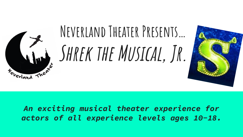

*An exciting musical theater experience for actors of all experience levels ages 10-18.*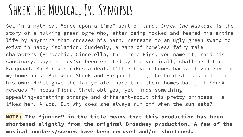### SHREK THE MUSICAL, JR. SYNOPSIS

Set in a mythical "once upon a time" sort of land, *Shrek the Musical* is the story of a hulking green ogre who, after being mocked and feared his entire life by anything that crosses his path, retreats to an ugly green swamp to exist in happy isolation. Suddenly, a gang of homeless fairy-tale characters (Pinocchio, Cinderella, the Three Pigs, you name it) raid his sanctuary, saying they've been evicted by the vertically challenged Lord Farquaad. So Shrek strikes a deal: I'll get your homes back, if you give me my home back! But when Shrek and Farquaad meet, the Lord strikes a deal of his own: He'll give the fairy-tale characters their homes back, if Shrek rescues Princess Fiona. Shrek obliges, yet finds something appealing–something strange and different–about this pretty princess. He likes her. A *lot.* But why does she always run off when the sun sets?

**NOTE: The "junior" in the title means that this production has been shortened slightly from the original Broadway production. A few of the musical numbers/scenes have been removed and/or shortened.**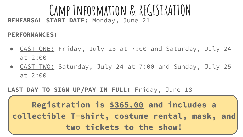### **Camp Information & REGISTRATION REHEARSAL START DATE:** Monday, June 21

#### **PERFORMANCES:**

- <u>CAST ONE:</u> Friday, July 23 at 7:00 and Saturday, July 24 at 2:00
- CAST TWO: Saturday, July 24 at 7:00 and Sunday, July 25 at 2:00

#### LAST DAY TO SIGN UP/PAY IN FULL: Friday, June 18

**Registration is \$365.00 and includes a collectible T-shirt, costume rental, mask, and two tickets to the show!**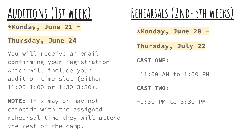# **Auditions (1st week)**

**\*Monday, June 21 -**

#### **Thursday, June 24**

You will receive an email confirming your registration which will include your audition time slot (either 11:00-1:00 or 1:30-3:30).

**NOTE:** This may or may not coincide with the assigned rehearsal time they will attend the rest of the camp.

## **Rehearsals (2nd-5th weeks)**

**\*Monday, June 28 -**

**Thursday, July 22**

**CAST ONE:**

-11:00 AM to 1:00 PM

**CAST TWO:**

-1:30 PM to 3:30 PM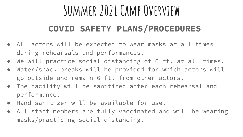## **Summer 2021 Camp Overview**

### **COVID SAFETY PLANS/PROCEDURES**

- ALL actors will be expected to wear masks at all times during rehearsals and performances.
- We will practice social distancing of 6 ft. at all times.
- Water/snack breaks will be provided for which actors will go outside and remain 6 ft. from other actors.
- The facility will be sanitized after each rehearsal and performance.
- Hand sanitizer will be available for use.
- All staff members are fully vaccinated and will be wearing masks/practicing social distancing.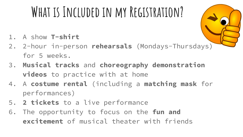# **What is Included in my Registration?**

- 1. A show **T-shirt**
- 2. 2-hour in-person **rehearsals** (Mondays-Thursdays) for 5 weeks.
- 3. **Musical tracks** and **choreography demonstration videos** to practice with at home
- 4. A **costume rental** (including a **matching mask** for performances)
- 5. **2 tickets** to a live performance
- 6. The opportunity to focus on the **fun and excitement** of musical theater with friends